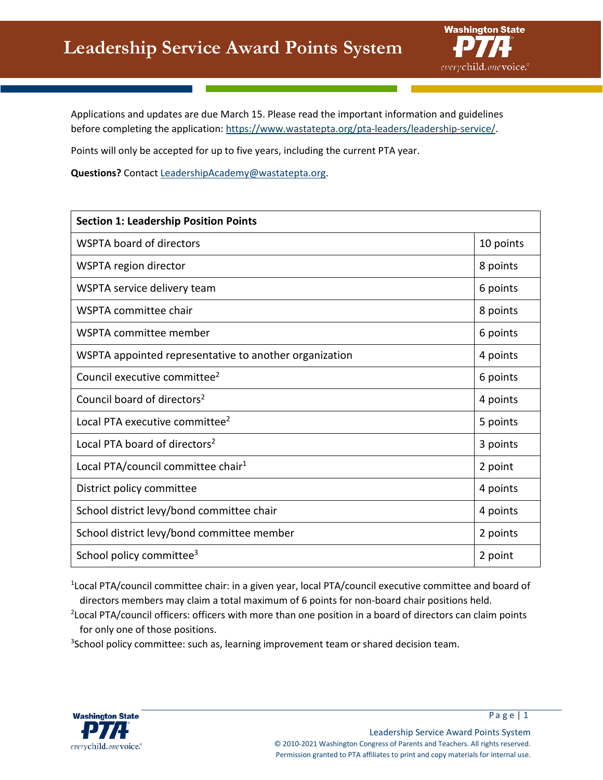

Applications and updates are due March 15. Please read the important information and guidelines before completing the application: [https://www.wastatepta.org/pta-leaders/leadership-service/.](https://www.wastatepta.org/pta-leaders/leadership-service/)

Points will only be accepted for up to five years, including the current PTA year.

**Questions?** Contact [LeadershipAcademy@wastatepta.org.](mailto:LeadershipAcademy@wastatepta.org)

| <b>Section 1: Leadership Position Points</b>           |           |
|--------------------------------------------------------|-----------|
| <b>WSPTA board of directors</b>                        | 10 points |
| WSPTA region director                                  | 8 points  |
| WSPTA service delivery team                            | 6 points  |
| WSPTA committee chair                                  | 8 points  |
| WSPTA committee member                                 | 6 points  |
| WSPTA appointed representative to another organization | 4 points  |
| Council executive committee <sup>2</sup>               | 6 points  |
| Council board of directors <sup>2</sup>                | 4 points  |
| Local PTA executive committee <sup>2</sup>             | 5 points  |
| Local PTA board of directors <sup>2</sup>              | 3 points  |
| Local PTA/council committee chair <sup>1</sup>         | 2 point   |
| District policy committee                              | 4 points  |
| School district levy/bond committee chair              | 4 points  |
| School district levy/bond committee member             | 2 points  |
| School policy committee <sup>3</sup>                   | 2 point   |

<sup>1</sup>Local PTA/council committee chair: in a given year, local PTA/council executive committee and board of directors members may claim a total maximum of 6 points for non-board chair positions held.

<sup>2</sup> Local PTA/council officers: officers with more than one position in a board of directors can claim points for only one of those positions.

<sup>3</sup>School policy committee: such as, learning improvement team or shared decision team.

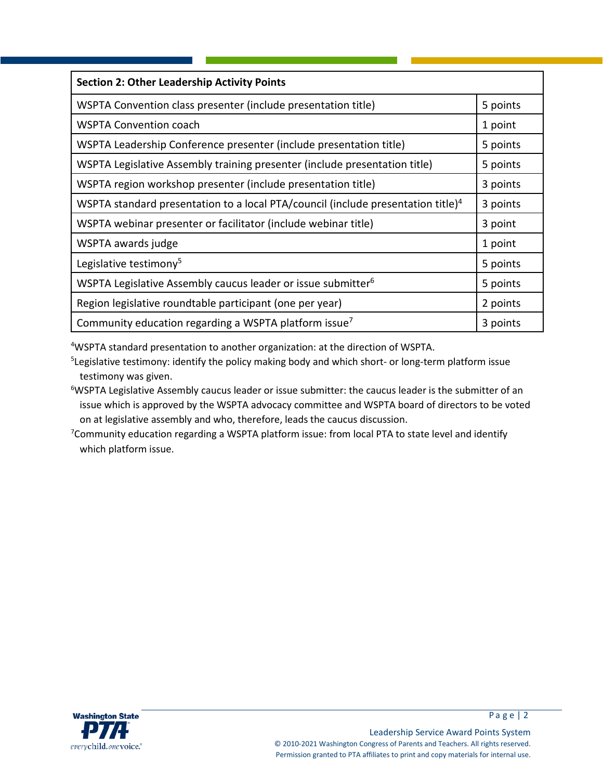| <b>Section 2: Other Leadership Activity Points</b>                                           |          |
|----------------------------------------------------------------------------------------------|----------|
| WSPTA Convention class presenter (include presentation title)                                | 5 points |
| <b>WSPTA Convention coach</b>                                                                | 1 point  |
| WSPTA Leadership Conference presenter (include presentation title)                           | 5 points |
| WSPTA Legislative Assembly training presenter (include presentation title)                   | 5 points |
| WSPTA region workshop presenter (include presentation title)                                 | 3 points |
| WSPTA standard presentation to a local PTA/council (include presentation title) <sup>4</sup> | 3 points |
| WSPTA webinar presenter or facilitator (include webinar title)                               | 3 point  |
| WSPTA awards judge                                                                           | 1 point  |
| Legislative testimony <sup>5</sup>                                                           | 5 points |
| WSPTA Legislative Assembly caucus leader or issue submitter <sup>6</sup>                     | 5 points |
| Region legislative roundtable participant (one per year)                                     | 2 points |
| Community education regarding a WSPTA platform issue <sup>7</sup>                            | 3 points |

4 WSPTA standard presentation to another organization: at the direction of WSPTA.

<sup>5</sup>Legislative testimony: identify the policy making body and which short- or long-term platform issue testimony was given.

<sup>6</sup>WSPTA Legislative Assembly caucus leader or issue submitter: the caucus leader is the submitter of an issue which is approved by the WSPTA advocacy committee and WSPTA board of directors to be voted on at legislative assembly and who, therefore, leads the caucus discussion.

<sup>7</sup>Community education regarding a WSPTA platform issue: from local PTA to state level and identify which platform issue.